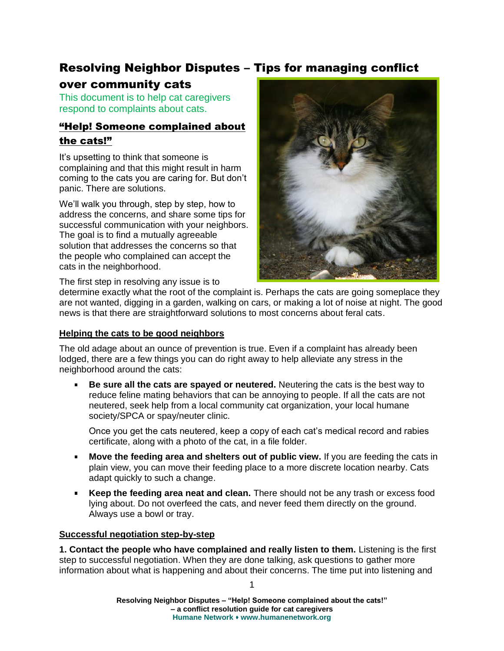# Resolving Neighbor Disputes – Tips for managing conflict

# over community cats

This document is to help cat caregivers respond to complaints about cats.

# "Help! Someone complained about the cats!"

It's upsetting to think that someone is complaining and that this might result in harm coming to the cats you are caring for. But don't panic. There are solutions.

We'll walk you through, step by step, how to address the concerns, and share some tips for successful communication with your neighbors. The goal is to find a mutually agreeable solution that addresses the concerns so that the people who complained can accept the cats in the neighborhood.



The first step in resolving any issue is to

determine exactly what the root of the complaint is. Perhaps the cats are going someplace they are not wanted, digging in a garden, walking on cars, or making a lot of noise at night. The good news is that there are straightforward solutions to most concerns about feral cats.

## **Helping the cats to be good neighbors**

The old adage about an ounce of prevention is true. Even if a complaint has already been lodged, there are a few things you can do right away to help alleviate any stress in the neighborhood around the cats:

**Be sure all the cats are spayed or neutered.** Neutering the cats is the best way to reduce feline mating behaviors that can be annoying to people. If all the cats are not neutered, seek help from a local community cat organization, your local humane society/SPCA or spay/neuter clinic.

Once you get the cats neutered, keep a copy of each cat's medical record and rabies certificate, along with a photo of the cat, in a file folder.

- **Move the feeding area and shelters out of public view.** If you are feeding the cats in plain view, you can move their feeding place to a more discrete location nearby. Cats adapt quickly to such a change.
- **Keep the feeding area neat and clean.** There should not be any trash or excess food  $\blacksquare$ lying about. Do not overfeed the cats, and never feed them directly on the ground. Always use a bowl or tray.

## **Successful negotiation step-by-step**

**1. Contact the people who have complained and really listen to them.** Listening is the first step to successful negotiation. When they are done talking, ask questions to gather more information about what is happening and about their concerns. The time put into listening and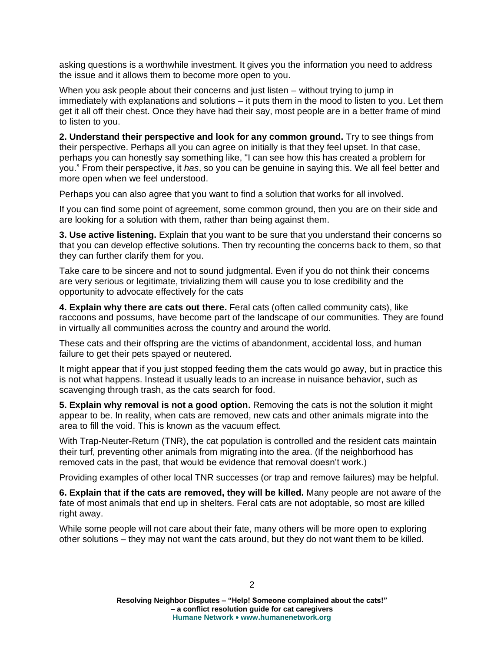asking questions is a worthwhile investment. It gives you the information you need to address the issue and it allows them to become more open to you.

When you ask people about their concerns and just listen – without trying to jump in immediately with explanations and solutions – it puts them in the mood to listen to you. Let them get it all off their chest. Once they have had their say, most people are in a better frame of mind to listen to you.

**2. Understand their perspective and look for any common ground.** Try to see things from their perspective. Perhaps all you can agree on initially is that they feel upset. In that case, perhaps you can honestly say something like, "I can see how this has created a problem for you." From their perspective, it *has*, so you can be genuine in saying this. We all feel better and more open when we feel understood.

Perhaps you can also agree that you want to find a solution that works for all involved.

If you can find some point of agreement, some common ground, then you are on their side and are looking for a solution with them, rather than being against them.

**3. Use active listening.** Explain that you want to be sure that you understand their concerns so that you can develop effective solutions. Then try recounting the concerns back to them, so that they can further clarify them for you.

Take care to be sincere and not to sound judgmental. Even if you do not think their concerns are very serious or legitimate, trivializing them will cause you to lose credibility and the opportunity to advocate effectively for the cats

**4. Explain why there are cats out there.** Feral cats (often called community cats), like raccoons and possums, have become part of the landscape of our communities. They are found in virtually all communities across the country and around the world.

These cats and their offspring are the victims of abandonment, accidental loss, and human failure to get their pets spayed or neutered.

It might appear that if you just stopped feeding them the cats would go away, but in practice this is not what happens. Instead it usually leads to an increase in nuisance behavior, such as scavenging through trash, as the cats search for food.

**5. Explain why removal is not a good option.** Removing the cats is not the solution it might appear to be. In reality, when cats are removed, new cats and other animals migrate into the area to fill the void. This is known as the vacuum effect.

With Trap-Neuter-Return (TNR), the cat population is controlled and the resident cats maintain their turf, preventing other animals from migrating into the area. (If the neighborhood has removed cats in the past, that would be evidence that removal doesn't work.)

Providing examples of other local TNR successes (or trap and remove failures) may be helpful.

**6. Explain that if the cats are removed, they will be killed.** Many people are not aware of the fate of most animals that end up in shelters. Feral cats are not adoptable, so most are killed right away.

While some people will not care about their fate, many others will be more open to exploring other solutions – they may not want the cats around, but they do not want them to be killed.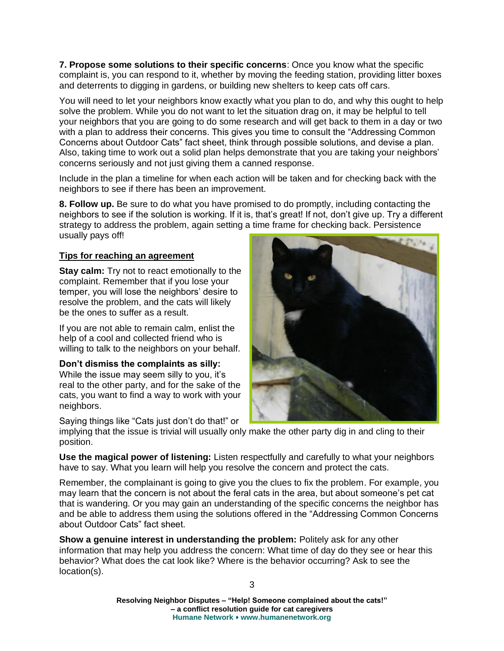**7. Propose some solutions to their specific concerns**: Once you know what the specific complaint is, you can respond to it, whether by moving the feeding station, providing litter boxes and deterrents to digging in gardens, or building new shelters to keep cats off cars.

You will need to let your neighbors know exactly what you plan to do, and why this ought to help solve the problem. While you do not want to let the situation drag on, it may be helpful to tell your neighbors that you are going to do some research and will get back to them in a day or two with a plan to address their concerns. This gives you time to consult the "Addressing Common Concerns about Outdoor Cats" fact sheet, think through possible solutions, and devise a plan. Also, taking time to work out a solid plan helps demonstrate that you are taking your neighbors' concerns seriously and not just giving them a canned response.

Include in the plan a timeline for when each action will be taken and for checking back with the neighbors to see if there has been an improvement.

**8. Follow up.** Be sure to do what you have promised to do promptly, including contacting the neighbors to see if the solution is working. If it is, that's great! If not, don't give up. Try a different strategy to address the problem, again setting a time frame for checking back. Persistence usually pays off!

### **Tips for reaching an agreement**

**Stay calm:** Try not to react emotionally to the complaint. Remember that if you lose your temper, you will lose the neighbors' desire to resolve the problem, and the cats will likely be the ones to suffer as a result.

If you are not able to remain calm, enlist the help of a cool and collected friend who is willing to talk to the neighbors on your behalf.

**Don't dismiss the complaints as silly:** 

While the issue may seem silly to you, it's real to the other party, and for the sake of the cats, you want to find a way to work with your neighbors.

Saying things like "Cats just don't do that!" or



implying that the issue is trivial will usually only make the other party dig in and cling to their position.

**Use the magical power of listening:** Listen respectfully and carefully to what your neighbors have to say. What you learn will help you resolve the concern and protect the cats.

Remember, the complainant is going to give you the clues to fix the problem. For example, you may learn that the concern is not about the feral cats in the area, but about someone's pet cat that is wandering. Or you may gain an understanding of the specific concerns the neighbor has and be able to address them using the solutions offered in the "Addressing Common Concerns about Outdoor Cats" fact sheet.

**Show a genuine interest in understanding the problem:** Politely ask for any other information that may help you address the concern: What time of day do they see or hear this behavior? What does the cat look like? Where is the behavior occurring? Ask to see the location(s).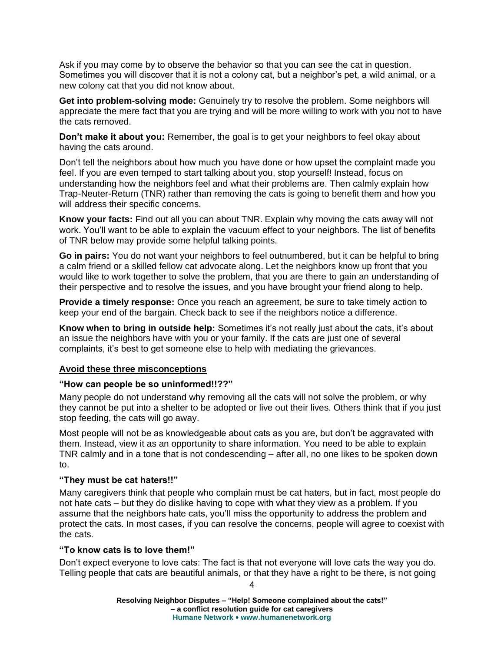Ask if you may come by to observe the behavior so that you can see the cat in question. Sometimes you will discover that it is not a colony cat, but a neighbor's pet, a wild animal, or a new colony cat that you did not know about.

**Get into problem-solving mode:** Genuinely try to resolve the problem. Some neighbors will appreciate the mere fact that you are trying and will be more willing to work with you not to have the cats removed.

**Don't make it about you:** Remember, the goal is to get your neighbors to feel okay about having the cats around.

Don't tell the neighbors about how much you have done or how upset the complaint made you feel. If you are even temped to start talking about you, stop yourself! Instead, focus on understanding how the neighbors feel and what their problems are. Then calmly explain how Trap-Neuter-Return (TNR) rather than removing the cats is going to benefit them and how you will address their specific concerns.

**Know your facts:** Find out all you can about TNR. Explain why moving the cats away will not work. You'll want to be able to explain the vacuum effect to your neighbors. The list of benefits of TNR below may provide some helpful talking points.

**Go in pairs:** You do not want your neighbors to feel outnumbered, but it can be helpful to bring a calm friend or a skilled fellow cat advocate along. Let the neighbors know up front that you would like to work together to solve the problem, that you are there to gain an understanding of their perspective and to resolve the issues, and you have brought your friend along to help.

**Provide a timely response:** Once you reach an agreement, be sure to take timely action to keep your end of the bargain. Check back to see if the neighbors notice a difference.

**Know when to bring in outside help:** Sometimes it's not really just about the cats, it's about an issue the neighbors have with you or your family. If the cats are just one of several complaints, it's best to get someone else to help with mediating the grievances.

#### **Avoid these three misconceptions**

#### **"How can people be so uninformed!!??"**

Many people do not understand why removing all the cats will not solve the problem, or why they cannot be put into a shelter to be adopted or live out their lives. Others think that if you just stop feeding, the cats will go away.

Most people will not be as knowledgeable about cats as you are, but don't be aggravated with them. Instead, view it as an opportunity to share information. You need to be able to explain TNR calmly and in a tone that is not condescending – after all, no one likes to be spoken down to.

#### **"They must be cat haters!!"**

Many caregivers think that people who complain must be cat haters, but in fact, most people do not hate cats – but they do dislike having to cope with what they view as a problem. If you assume that the neighbors hate cats, you'll miss the opportunity to address the problem and protect the cats. In most cases, if you can resolve the concerns, people will agree to coexist with the cats.

#### **"To know cats is to love them!"**

Don't expect everyone to love cats: The fact is that not everyone will love cats the way you do. Telling people that cats are beautiful animals, or that they have a right to be there, is not going

4